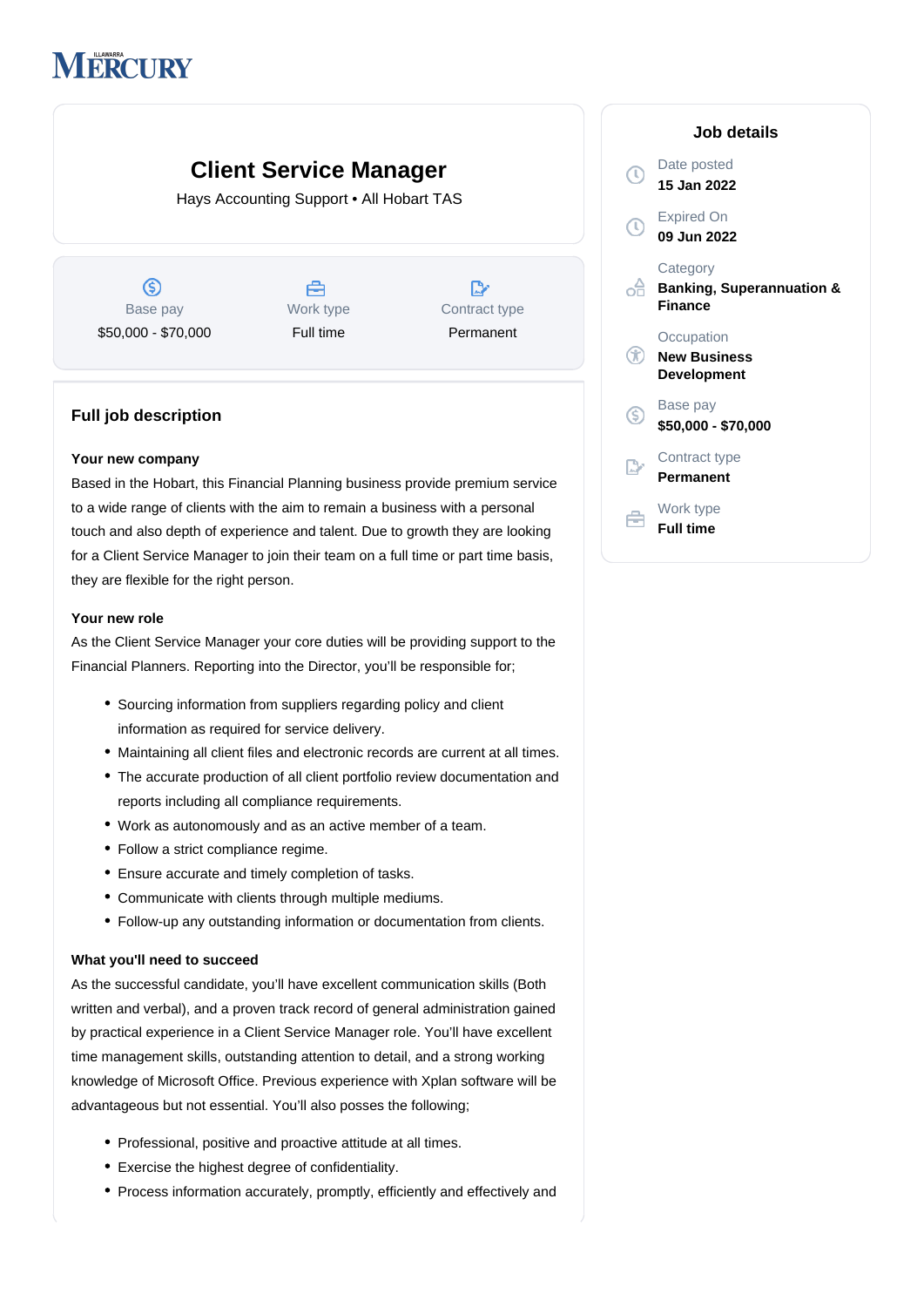# **MERCURY**

## **Client Service Manager**

Hays Accounting Support • All Hobart TAS

 $\circledS$ Base pay \$50,000 - \$70,000

Å Work type Full time

D Contract type Permanent

### **Full job description**

#### **Your new company**

Based in the Hobart, this Financial Planning business provide premium service to a wide range of clients with the aim to remain a business with a personal touch and also depth of experience and talent. Due to growth they are looking for a Client Service Manager to join their team on a full time or part time basis, they are flexible for the right person.

#### **Your new role**

As the Client Service Manager your core duties will be providing support to the Financial Planners. Reporting into the Director, you'll be responsible for;

- Sourcing information from suppliers regarding policy and client information as required for service delivery.
- Maintaining all client files and electronic records are current at all times.
- The accurate production of all client portfolio review documentation and reports including all compliance requirements.
- Work as autonomously and as an active member of a team.
- Follow a strict compliance regime.
- Ensure accurate and timely completion of tasks.
- Communicate with clients through multiple mediums.
- Follow-up any outstanding information or documentation from clients.

#### **What you'll need to succeed**

As the successful candidate, you'll have excellent communication skills (Both written and verbal), and a proven track record of general administration gained by practical experience in a Client Service Manager role. You'll have excellent time management skills, outstanding attention to detail, and a strong working knowledge of Microsoft Office. Previous experience with Xplan software will be advantageous but not essential. You'll also posses the following;

- Professional, positive and proactive attitude at all times.
- Exercise the highest degree of confidentiality.
- Process information accurately, promptly, efficiently and effectively and

|     | Job details                                                        |
|-----|--------------------------------------------------------------------|
|     | Date posted<br>15 Jan 2022                                         |
| J)  | <b>Expired On</b><br>09 Jun 2022                                   |
|     | Category<br><b>Banking, Superannuation &amp;</b><br><b>Finance</b> |
|     | Occupation<br><b>New Business</b><br>Development                   |
| (\$ | Base pay<br>\$50,000 - \$70,000                                    |
|     | Contract type<br>Permanent                                         |
|     | Work type<br><b>Full time</b>                                      |